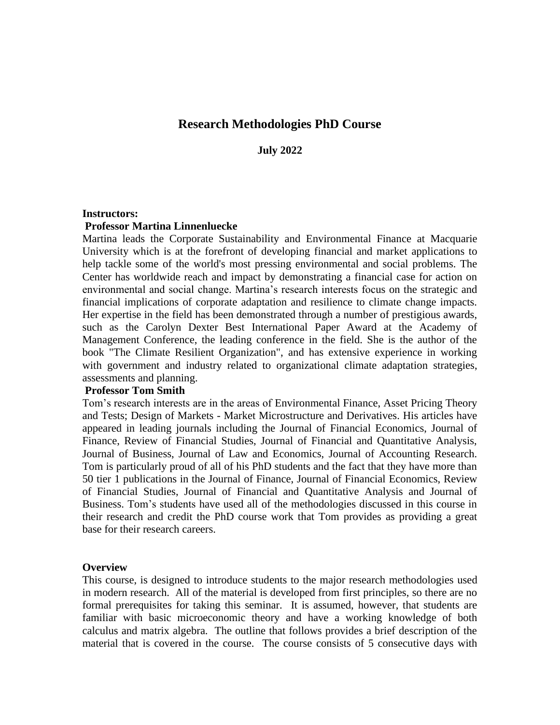# **Research Methodologies PhD Course**

**July 2022**

#### **Instructors:**

#### **Professor Martina Linnenluecke**

Martina leads the Corporate Sustainability and Environmental Finance at Macquarie University which is at the forefront of developing financial and market applications to help tackle some of the world's most pressing environmental and social problems. The Center has worldwide reach and impact by demonstrating a financial case for action on environmental and social change. Martina's research interests focus on the strategic and financial implications of corporate adaptation and resilience to climate change impacts. Her expertise in the field has been demonstrated through a number of prestigious awards, such as the Carolyn Dexter Best International Paper Award at the Academy of Management Conference, the leading conference in the field. She is the author of the book "The Climate Resilient Organization", and has extensive experience in working with government and industry related to organizational climate adaptation strategies, assessments and planning.

#### **Professor Tom Smith**

Tom's research interests are in the areas of Environmental Finance, Asset Pricing Theory and Tests; Design of Markets - Market Microstructure and Derivatives. His articles have appeared in leading journals including the Journal of Financial Economics, Journal of Finance, Review of Financial Studies, Journal of Financial and Quantitative Analysis, Journal of Business, Journal of Law and Economics, Journal of Accounting Research. Tom is particularly proud of all of his PhD students and the fact that they have more than 50 tier 1 publications in the Journal of Finance, Journal of Financial Economics, Review of Financial Studies, Journal of Financial and Quantitative Analysis and Journal of Business. Tom's students have used all of the methodologies discussed in this course in their research and credit the PhD course work that Tom provides as providing a great base for their research careers.

#### **Overview**

This course, is designed to introduce students to the major research methodologies used in modern research. All of the material is developed from first principles, so there are no formal prerequisites for taking this seminar. It is assumed, however, that students are familiar with basic microeconomic theory and have a working knowledge of both calculus and matrix algebra. The outline that follows provides a brief description of the material that is covered in the course. The course consists of 5 consecutive days with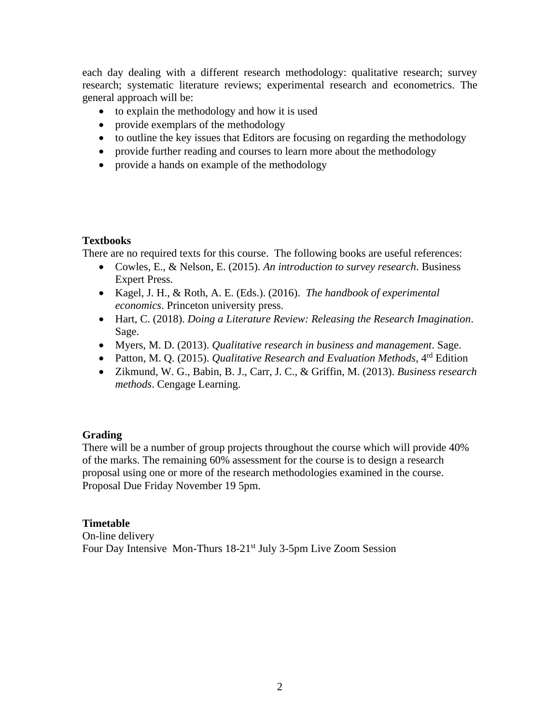each day dealing with a different research methodology: qualitative research; survey research; systematic literature reviews; experimental research and econometrics. The general approach will be:

- to explain the methodology and how it is used
- provide exemplars of the methodology
- to outline the key issues that Editors are focusing on regarding the methodology
- provide further reading and courses to learn more about the methodology
- provide a hands on example of the methodology

#### **Textbooks**

There are no required texts for this course. The following books are useful references:

- Cowles, E., & Nelson, E. (2015). *An introduction to survey research*. Business Expert Press.
- Kagel, J. H., & Roth, A. E. (Eds.). (2016). *The handbook of experimental economics*. Princeton university press.
- Hart, C. (2018). *Doing a Literature Review: Releasing the Research Imagination*. Sage.
- Myers, M. D. (2013). *Qualitative research in business and management*. Sage.
- Patton, M. Q. (2015). *Qualitative Research and Evaluation Methods*, 4<sup>rd</sup> Edition
- Zikmund, W. G., Babin, B. J., Carr, J. C., & Griffin, M. (2013). *Business research methods*. Cengage Learning.

## **Grading**

There will be a number of group projects throughout the course which will provide 40% of the marks. The remaining 60% assessment for the course is to design a research proposal using one or more of the research methodologies examined in the course. Proposal Due Friday November 19 5pm.

**Timetable** On-line delivery Four Day Intensive Mon-Thurs 18-21<sup>st</sup> July 3-5pm Live Zoom Session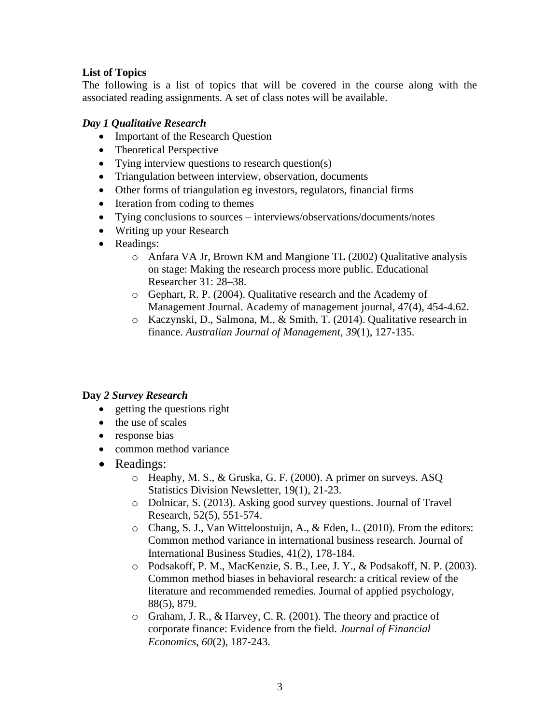# **List of Topics**

The following is a list of topics that will be covered in the course along with the associated reading assignments. A set of class notes will be available.

### *Day 1 Qualitative Research*

- Important of the Research Question
- Theoretical Perspective
- Tying interview questions to research question(s)
- Triangulation between interview, observation, documents
- Other forms of triangulation eg investors, regulators, financial firms
- Iteration from coding to themes
- Tying conclusions to sources interviews/observations/documents/notes
- Writing up your Research
- Readings:
	- o Anfara VA Jr, Brown KM and Mangione TL (2002) Qualitative analysis on stage: Making the research process more public. Educational Researcher 31: 28–38.
	- o Gephart, R. P. (2004). Qualitative research and the Academy of Management Journal. Academy of management journal, 47(4), 454-4.62.
	- o Kaczynski, D., Salmona, M., & Smith, T. (2014). Qualitative research in finance. *Australian Journal of Management*, *39*(1), 127-135.

## **Day** *2 Survey Research*

- getting the questions right
- the use of scales
- response bias
- common method variance
- Readings:
	- o Heaphy, M. S., & Gruska, G. F. (2000). A primer on surveys. ASQ Statistics Division Newsletter, 19(1), 21-23.
	- o Dolnicar, S. (2013). Asking good survey questions. Journal of Travel Research, 52(5), 551-574.
	- o Chang, S. J., Van Witteloostuijn, A., & Eden, L. (2010). From the editors: Common method variance in international business research. Journal of International Business Studies, 41(2), 178-184.
	- o Podsakoff, P. M., MacKenzie, S. B., Lee, J. Y., & Podsakoff, N. P. (2003). Common method biases in behavioral research: a critical review of the literature and recommended remedies. Journal of applied psychology, 88(5), 879.
	- o Graham, J. R., & Harvey, C. R. (2001). The theory and practice of corporate finance: Evidence from the field. *Journal of Financial Economics*, *60*(2), 187-243.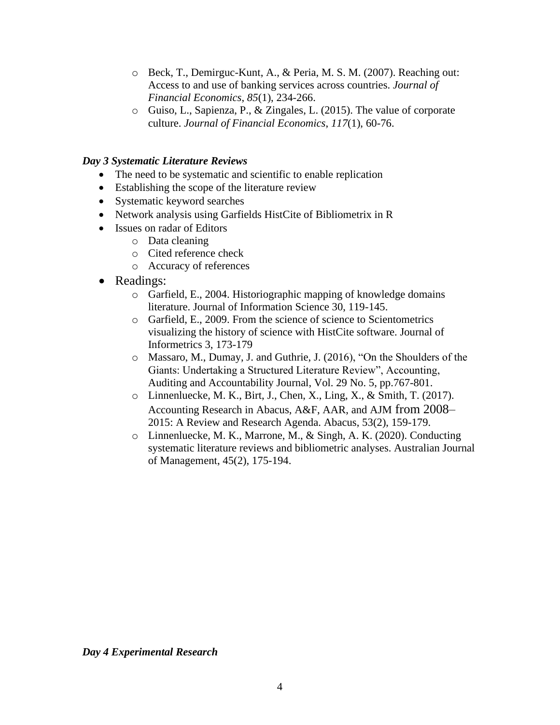- o Beck, T., Demirguc-Kunt, A., & Peria, M. S. M. (2007). Reaching out: Access to and use of banking services across countries. *Journal of Financial Economics*, *85*(1), 234-266.
- o Guiso, L., Sapienza, P., & Zingales, L. (2015). The value of corporate culture. *Journal of Financial Economics*, *117*(1), 60-76.

#### *Day 3 Systematic Literature Reviews*

- The need to be systematic and scientific to enable replication
- Establishing the scope of the literature review
- Systematic keyword searches
- Network analysis using Garfields HistCite of Bibliometrix in R
- Issues on radar of Editors
	- o Data cleaning
	- o Cited reference check
	- o Accuracy of references
- Readings:
	- o Garfield, E., 2004. Historiographic mapping of knowledge domains literature. Journal of Information Science 30, 119-145.
	- o Garfield, E., 2009. From the science of science to Scientometrics visualizing the history of science with HistCite software. Journal of Informetrics 3, 173-179
	- o Massaro, M., Dumay, J. and Guthrie, J. (2016), "On the Shoulders of the Giants: Undertaking a Structured Literature Review", Accounting, Auditing and Accountability Journal, Vol. 29 No. 5, pp.767-801.
	- o Linnenluecke, M. K., Birt, J., Chen, X., Ling, X., & Smith, T. (2017). Accounting Research in Abacus, A&F, AAR, and AJM from 2008– 2015: A Review and Research Agenda. Abacus, 53(2), 159-179.
	- o Linnenluecke, M. K., Marrone, M., & Singh, A. K. (2020). Conducting systematic literature reviews and bibliometric analyses. Australian Journal of Management, 45(2), 175-194.

*Day 4 Experimental Research*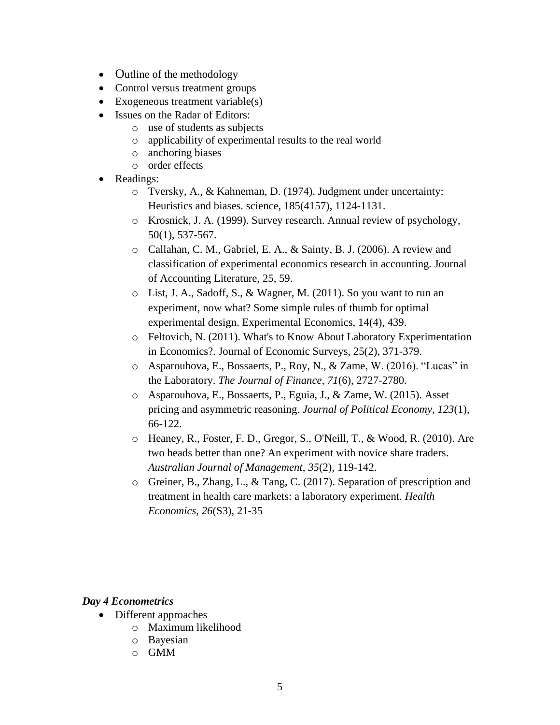- Outline of the methodology
- Control versus treatment groups
- Exogeneous treatment variable(s)
- Issues on the Radar of Editors:
	- o use of students as subjects
	- o applicability of experimental results to the real world
	- o anchoring biases
	- o order effects
- Readings:
	- o Tversky, A., & Kahneman, D. (1974). Judgment under uncertainty: Heuristics and biases. science, 185(4157), 1124-1131.
	- o Krosnick, J. A. (1999). Survey research. Annual review of psychology, 50(1), 537-567.
	- o Callahan, C. M., Gabriel, E. A., & Sainty, B. J. (2006). A review and classification of experimental economics research in accounting. Journal of Accounting Literature, 25, 59.
	- o List, J. A., Sadoff, S., & Wagner, M. (2011). So you want to run an experiment, now what? Some simple rules of thumb for optimal experimental design. Experimental Economics, 14(4), 439.
	- o Feltovich, N. (2011). What's to Know About Laboratory Experimentation in Economics?. Journal of Economic Surveys, 25(2), 371-379.
	- o Asparouhova, E., Bossaerts, P., Roy, N., & Zame, W. (2016). "Lucas" in the Laboratory. *The Journal of Finance*, *71*(6), 2727-2780.
	- o Asparouhova, E., Bossaerts, P., Eguia, J., & Zame, W. (2015). Asset pricing and asymmetric reasoning. *Journal of Political Economy*, *123*(1), 66-122.
	- o Heaney, R., Foster, F. D., Gregor, S., O'Neill, T., & Wood, R. (2010). Are two heads better than one? An experiment with novice share traders. *Australian Journal of Management*, *35*(2), 119-142.
	- o Greiner, B., Zhang, L., & Tang, C. (2017). Separation of prescription and treatment in health care markets: a laboratory experiment. *Health Economics, 26*(S3), 21-35

#### *Day 4 Econometrics*

- Different approaches
	- o Maximum likelihood
	- o Bayesian
	- o GMM